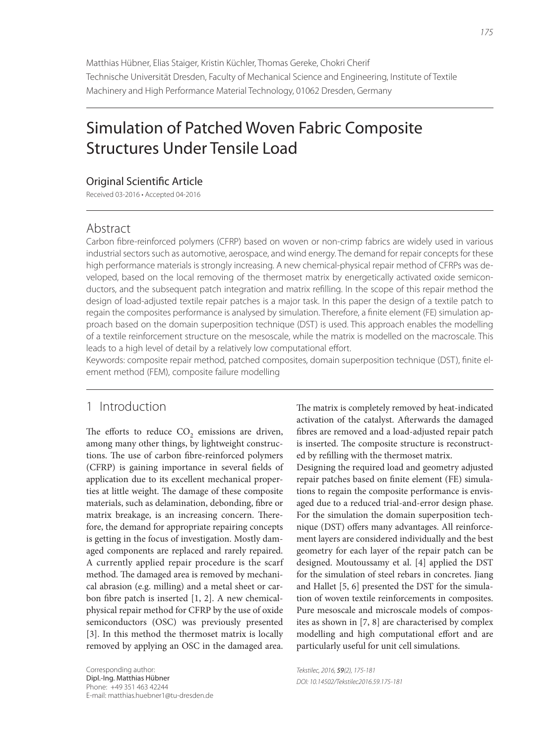Matthias Hübner, Elias Staiger, Kristin Küchler, Thomas Gereke, Chokri Cherif Technische Universität Dresden, Faculty of Mechanical Science and Engineering, Institute of Textile Machinery and High Performance Material Technology, 01062 Dresden, Germany

# Simulation of Patched Woven Fabric Composite Structures Under Tensile Load

## Original Scientific Article

Received 03-2016 • Accepted 04-2016

## Abstract

Carbon fibre-reinforced polymers (CFRP) based on woven or non-crimp fabrics are widely used in various industrial sectors such as automotive, aerospace, and wind energy. The demand for repair concepts for these high performance materials is strongly increasing. A new chemical-physical repair method of CFRPs was developed, based on the local removing of the thermoset matrix by energetically activated oxide semiconductors, and the subsequent patch integration and matrix refilling. In the scope of this repair method the design of load-adjusted textile repair patches is a major task. In this paper the design of a textile patch to regain the composites performance is analysed by simulation. Therefore, a finite element (FE) simulation approach based on the domain superposition technique (DST) is used. This approach enables the modelling of a textile reinforcement structure on the mesoscale, while the matrix is modelled on the macroscale. This leads to a high level of detail by a relatively low computational effort.

Keywords: composite repair method, patched composites, domain superposition technique (DST), finite element method (FEM), composite failure modelling

# 1 Introduction

The efforts to reduce  $CO<sub>2</sub>$  emissions are driven, among many other things, by lightweight constructions. The use of carbon fibre-reinforced polymers (CFRP) is gaining importance in several fields of application due to its excellent mechanical properties at little weight. The damage of these composite materials, such as delamination, debonding, fibre or matrix breakage, is an increasing concern. Therefore, the demand for appropriate repairing concepts is getting in the focus of investigation. Mostly damaged components are replaced and rarely repaired. A currently applied repair procedure is the scarf method. The damaged area is removed by mechanical abrasion (e.g. milling) and a metal sheet or carbon fibre patch is inserted  $[1, 2]$ . A new chemicalphysical repair method for CFRP by the use of oxide semiconductors (OSC) was previously presented [3]. In this method the thermoset matrix is locally removed by applying an OSC in the damaged area.

The matrix is completely removed by heat-indicated activation of the catalyst. Afterwards the damaged fibres are removed and a load-adjusted repair patch is inserted. The composite structure is reconstructed by refilling with the thermoset matrix.

Designing the required load and geometry adjusted repair patches based on finite element (FE) simulations to regain the composite performance is envisaged due to a reduced trial-and-error design phase. For the simulation the domain superposition technique (DST) offers many advantages. All reinforcement layers are considered individually and the best geometry for each layer of the repair patch can be designed. Moutoussamy et al. [4] applied the DST for the simulation of steel rebars in concretes. Jiang and Hallet [5, 6] presented the DST for the simulation of woven textile reinforcements in composites. Pure mesoscale and microscale models of composites as shown in [7, 8] are characterised by complex modelling and high computational effort and are particularly useful for unit cell simulations.

Tekstilec, 2016, 59(2), 175-181 DOI: 10.14502/Tekstilec2016.59.175-181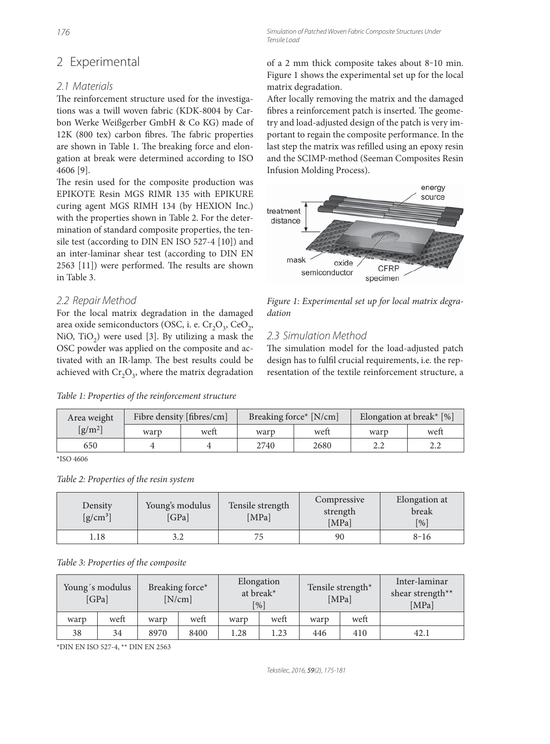# 2 Experimental

## 2.1 Materials

The reinforcement structure used for the investigations was a twill woven fabric (KDK-8004 by Carbon Werke Weißgerber GmbH & Co KG) made of  $12K$  (800 tex) carbon fibres. The fabric properties are shown in Table 1. The breaking force and elongation at break were determined according to ISO 4606 [9].

The resin used for the composite production was EPIKOTE Resin MGS RIMR 135 with EPIKURE curing agent MGS RIMH 134 (by HEXION Inc.) with the properties shown in Table 2. For the determination of standard composite properties, the tensile test (according to DIN EN ISO 527-4 [10]) and an inter-laminar shear test (according to DIN EN 2563 [11]) were performed. The results are shown in Table 3.

## 2.2 Repair Method

For the local matrix degradation in the damaged area oxide semiconductors (OSC, i. e.  $Cr_2O_3$ , CeO<sub>2</sub>, NiO, TiO<sub>2</sub>) were used [3]. By utilizing a mask the OSC powder was applied on the composite and activated with an IR-lamp. The best results could be achieved with  $Cr_2O_3$ , where the matrix degradation

176 Simulation of Patched Woven Fabric Composite Structures Under Tensile Load

> of a 2 mm thick composite takes about 8‒10 min. Figure 1 shows the experimental set up for the local matrix degradation.

> After locally removing the matrix and the damaged fibres a reinforcement patch is inserted. The geometry and load-adjusted design of the patch is very important to regain the composite performance. In the last step the matrix was refilled using an epoxy resin and the SCIMP-method (Seeman Composites Resin Infusion Molding Process).



Figure 1: Experimental set up for local matrix degradation

## 2.3 Simulation Method

The simulation model for the load-adjusted patch design has to fulfil crucial requirements, i.e. the representation of the textile reinforcement structure, a

|  |  |  | Table 1: Properties of the reinforcement structure |  |
|--|--|--|----------------------------------------------------|--|
|--|--|--|----------------------------------------------------|--|

| Area weight                  | Fibre density [fibres/cm] |      | Breaking force* [N/cm] |      | Elongation at break* $[%]$ |      |
|------------------------------|---------------------------|------|------------------------|------|----------------------------|------|
| $\left[\frac{g}{m^2}\right]$ | warp                      | weft | warp                   | weft | warp                       | weft |
| 650                          |                           |      | 2740                   | 2680 |                            |      |

\*ISO 4606

| Table 2: Properties of the resin system |  |  |  |  |
|-----------------------------------------|--|--|--|--|
|-----------------------------------------|--|--|--|--|

| Density<br>$[g/cm^3]$ | Young's modulus<br>[GPa] | Tensile strength<br>[MPa] | Compressive<br>strength<br>[MPa] | Elongation at<br>break<br>[%] |
|-----------------------|--------------------------|---------------------------|----------------------------------|-------------------------------|
| l.18                  | 3.2                      |                           | 90                               | $8 - 16$                      |

Table 3: Properties of the composite

|      | Young's modulus<br>[GPa] |      | Breaking force*<br>[N/cm] | Elongation<br>at break*<br>$\lceil % \rceil$ |      | Tensile strength*<br>[MPa] |      | Inter-laminar<br>shear strength**<br>[MPa] |
|------|--------------------------|------|---------------------------|----------------------------------------------|------|----------------------------|------|--------------------------------------------|
| warp | weft                     | warp | weft                      | warp                                         | weft | warp                       | weft |                                            |
| 38   | 34                       | 8970 | 8400                      | l.28                                         | 1.23 | 446                        | 410  | 42.1                                       |

\*DIN EN ISO 527-4, \*\* DIN EN 2563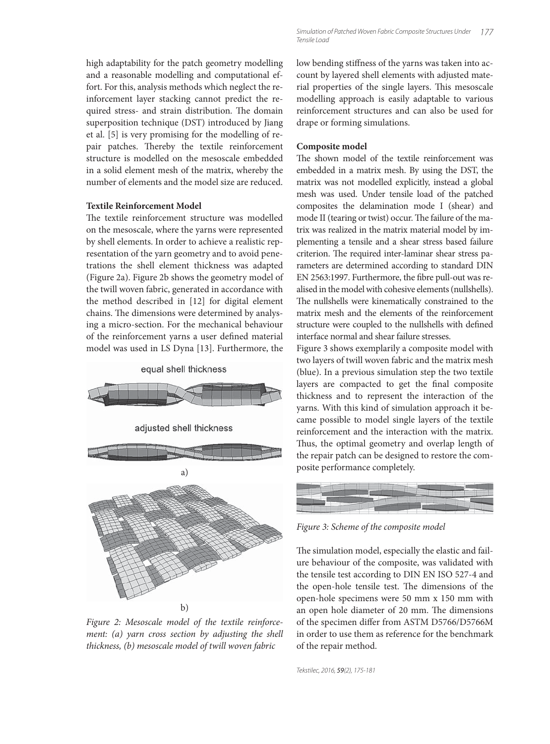high adaptability for the patch geometry modelling and a reasonable modelling and computational effort. For this, analysis methods which neglect the reinforcement layer stacking cannot predict the required stress- and strain distribution. The domain superposition technique (DST) introduced by Jiang et al. [5] is very promising for the modelling of repair patches. Thereby the textile reinforcement structure is modelled on the mesoscale embedded in a solid element mesh of the matrix, whereby the number of elements and the model size are reduced.

#### **Textile Reinforcement Model**

The textile reinforcement structure was modelled on the mesoscale, where the yarns were represented by shell elements. In order to achieve a realistic representation of the yarn geometry and to avoid penetrations the shell element thickness was adapted (Figure 2a). Figure 2b shows the geometry model of the twill woven fabric, generated in accordance with the method described in [12] for digital element chains. The dimensions were determined by analysing a micro-section. For the mechanical behaviour of the reinforcement yarns a user defined material model was used in LS Dyna [13]. Furthermore, the



Figure 2: Mesoscale model of the textile reinforcement: (a) yarn cross section by adjusting the shell thickness, (b) mesoscale model of twill woven fabric

low bending stiffness of the yarns was taken into account by layered shell elements with adjusted material properties of the single layers. This mesoscale modelling approach is easily adaptable to various reinforcement structures and can also be used for drape or forming simulations.

#### **Composite model**

The shown model of the textile reinforcement was embedded in a matrix mesh. By using the DST, the matrix was not modelled explicitly, instead a global mesh was used. Under tensile load of the patched composites the delamination mode I (shear) and mode II (tearing or twist) occur. The failure of the matrix was realized in the matrix material model by implementing a tensile and a shear stress based failure criterion. The required inter-laminar shear stress parameters are determined according to standard DIN EN 2563:1997. Furthermore, the fibre pull-out was realised in the model with cohesive elements (nullshells). The nullshells were kinematically constrained to the matrix mesh and the elements of the reinforcement structure were coupled to the nullshells with defined interface normal and shear failure stresses.

Figure 3 shows exemplarily a composite model with two layers of twill woven fabric and the matrix mesh (blue). In a previous simulation step the two textile layers are compacted to get the final composite thickness and to represent the interaction of the yarns. With this kind of simulation approach it became possible to model single layers of the textile reinforcement and the interaction with the matrix. Thus, the optimal geometry and overlap length of the repair patch can be designed to restore the composite performance completely.



Figure 3: Scheme of the composite model

The simulation model, especially the elastic and failure behaviour of the composite, was validated with the tensile test according to DIN EN ISO 527-4 and the open-hole tensile test. The dimensions of the open-hole specimens were 50 mm x 150 mm with an open hole diameter of 20 mm. The dimensions of the specimen differ from ASTM D5766/D5766M in order to use them as reference for the benchmark of the repair method.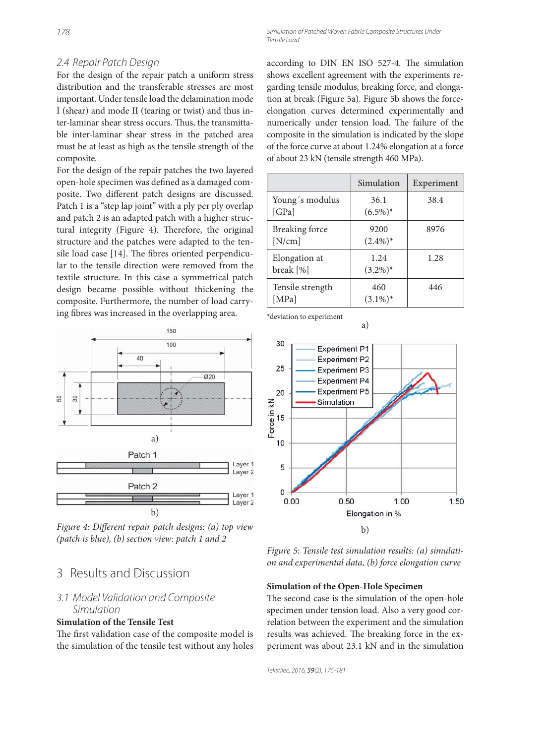## 2.4 Repair Patch Design

For the design of the repair patch a uniform stress distribution and the transferable stresses are most important. Under tensile load the delamination mode I (shear) and mode II (tearing or twist) and thus inter-laminar shear stress occurs. Thus, the transmittable inter-laminar shear stress in the patched area must be at least as high as the tensile strength of the composite.

For the design of the repair patches the two layered open-hole specimen was defined as a damaged composite. Two different patch designs are discussed. Patch 1 is a "step lap joint" with a ply per ply overlap and patch 2 is an adapted patch with a higher structural integrity (Figure 4). Therefore, the original structure and the patches were adapted to the tensile load case  $[14]$ . The fibres oriented perpendicular to the tensile direction were removed from the textile structure. In this case a symmetrical patch design became possible without thickening the composite. Furthermore, the number of load carrying fibres was increased in the overlapping area.



Figure 4: Different repair patch designs: (a) top view (patch is blue), (b) section view: patch 1 and 2

## 3 Results and Discussion

## 3.1 Model Validation and Composite Simulation

#### **Simulation of the Tensile Test**

The first validation case of the composite model is the simulation of the tensile test without any holes according to DIN EN ISO 527-4. The simulation shows excellent agreement with the experiments regarding tensile modulus, breaking force, and elongation at break (Figure 5a). Figure 5b shows the forceelongation curves determined experimentally and numerically under tension load. The failure of the composite in the simulation is indicated by the slope of the force curve at about 1.24% elongation at a force of about 23 kN (tensile strength 460 MPa).

|                                 | Simulation          | Experiment |
|---------------------------------|---------------------|------------|
| Young's modulus<br>[GPa]        | 36.1<br>$(6.5\%)^*$ | 38.4       |
| <b>Breaking force</b><br>[N/cm] | 9200<br>$(2.4\%)^*$ | 8976       |
| Elongation at<br>break [%]      | 1.24<br>$(3.2\%)^*$ | 1.28       |
| Tensile strength<br>[MPa]       | 460<br>$(3.1\%)^*$  | 446        |

a)

\*deviation to experiment



Figure 5: Tensile test simulation results: (a) simulation and experimental data, (b) force elongation curve

#### **Simulation of the Open-Hole Specimen**

The second case is the simulation of the open-hole specimen under tension load. Also a very good correlation between the experiment and the simulation results was achieved. The breaking force in the experiment was about 23.1 kN and in the simulation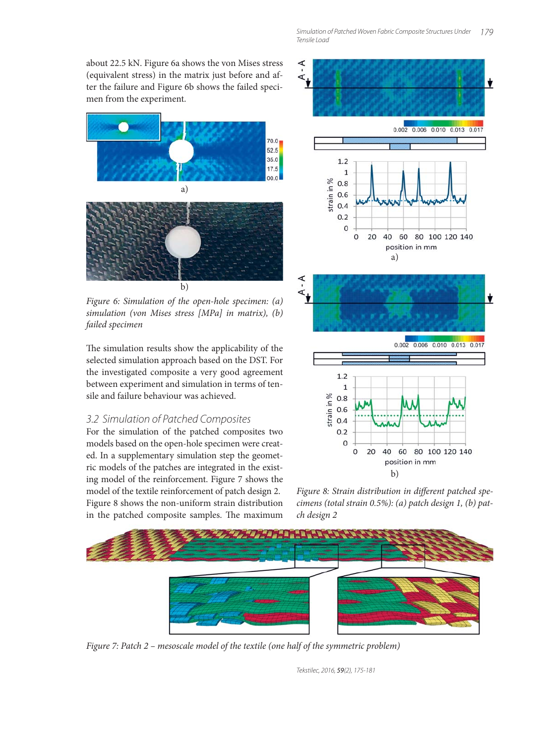about 22.5 kN. Figure 6a shows the von Mises stress (equivalent stress) in the matrix just before and after the failure and Figure 6b shows the failed specimen from the experiment.



Figure 6: Simulation of the open-hole specimen: (a) simulation (von Mises stress [MPa] in matrix), (b) failed specimen

The simulation results show the applicability of the selected simulation approach based on the DST. For the investigated composite a very good agreement between experiment and simulation in terms of tensile and failure behaviour was achieved.

## 3.2 Simulation of Patched Composites

For the simulation of the patched composites two models based on the open-hole specimen were created. In a supplementary simulation step the geometric models of the patches are integrated in the existing model of the reinforcement. Figure 7 shows the model of the textile reinforcement of patch design 2. Figure 8 shows the non-uniform strain distribution in the patched composite samples. The maximum





Figure 8: Strain distribution in different patched specimens (total strain 0.5%): (a) patch design 1, (b) patch design 2



Figure 7: Patch 2 – mesoscale model of the textile (one half of the symmetric problem)

Tekstilec, 2016, 59(2), 175-181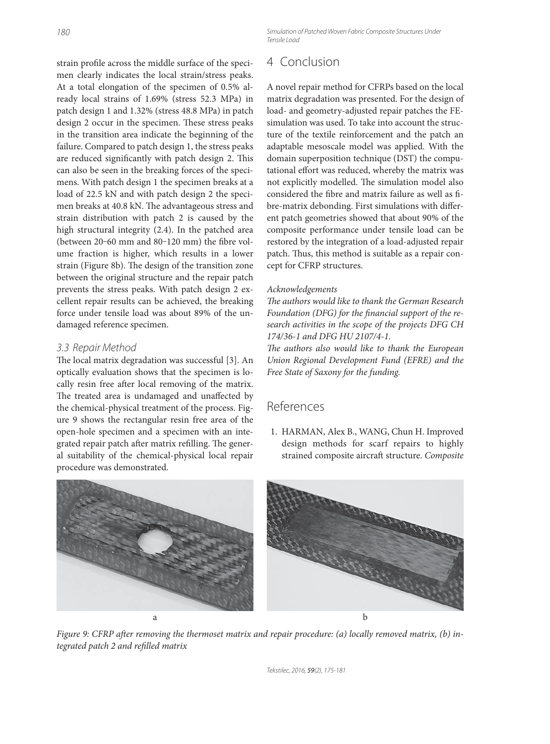strain profile across the middle surface of the specimen clearly indicates the local strain/stress peaks. At a total elongation of the specimen of 0.5% already local strains of 1.69% (stress 52.3 MPa) in patch design 1 and 1.32% (stress 48.8 MPa) in patch design 2 occur in the specimen. These stress peaks in the transition area indicate the beginning of the failure. Compared to patch design 1, the stress peaks are reduced significantly with patch design 2. This can also be seen in the breaking forces of the specimens. With patch design 1 the specimen breaks at a load of 22.5 kN and with patch design 2 the specimen breaks at 40.8 kN. The advantageous stress and strain distribution with patch 2 is caused by the high structural integrity (2.4). In the patched area (between  $20-60$  mm and  $80-120$  mm) the fibre volume fraction is higher, which results in a lower strain (Figure 8b). The design of the transition zone between the original structure and the repair patch prevents the stress peaks. With patch design 2 excellent repair results can be achieved, the breaking force under tensile load was about 89% of the undamaged reference specimen.

## 3.3 Repair Method

The local matrix degradation was successful [3]. An optically evaluation shows that the specimen is locally resin free after local removing of the matrix. The treated area is undamaged and unaffected by the chemical-physical treatment of the process. Figure 9 shows the rectangular resin free area of the open-hole specimen and a specimen with an integrated repair patch after matrix refilling. The general suitability of the chemical-physical local repair procedure was demonstrated.

# 4 Conclusion

A novel repair method for CFRPs based on the local matrix degradation was presented. For the design of load- and geometry-adjusted repair patches the FEsimulation was used. To take into account the structure of the textile reinforcement and the patch an adaptable mesoscale model was applied. With the domain superposition technique (DST) the computational effort was reduced, whereby the matrix was not explicitly modelled. The simulation model also considered the fibre and matrix failure as well as fibre-matrix debonding. First simulations with different patch geometries showed that about 90% of the composite performance under tensile load can be restored by the integration of a load-adjusted repair patch. Thus, this method is suitable as a repair concept for CFRP structures.

#### Acknowledgements

The authors would like to thank the German Research Foundation (DFG) for the financial support of the research activities in the scope of the projects DFG CH 174/36-1 and DFG HU 2107/4-1.

The authors also would like to thank the European Union Regional Development Fund (EFRE) and the Free State of Saxony for the funding.

## References

 1. HARMAN, Alex B., WANG, Chun H. Improved design methods for scarf repairs to highly strained composite aircraft structure. Composite





Figure 9: CFRP after removing the thermoset matrix and repair procedure: (a) locally removed matrix, (b) integrated patch 2 and refilled matrix

Tekstilec, 2016, 59(2), 175-181